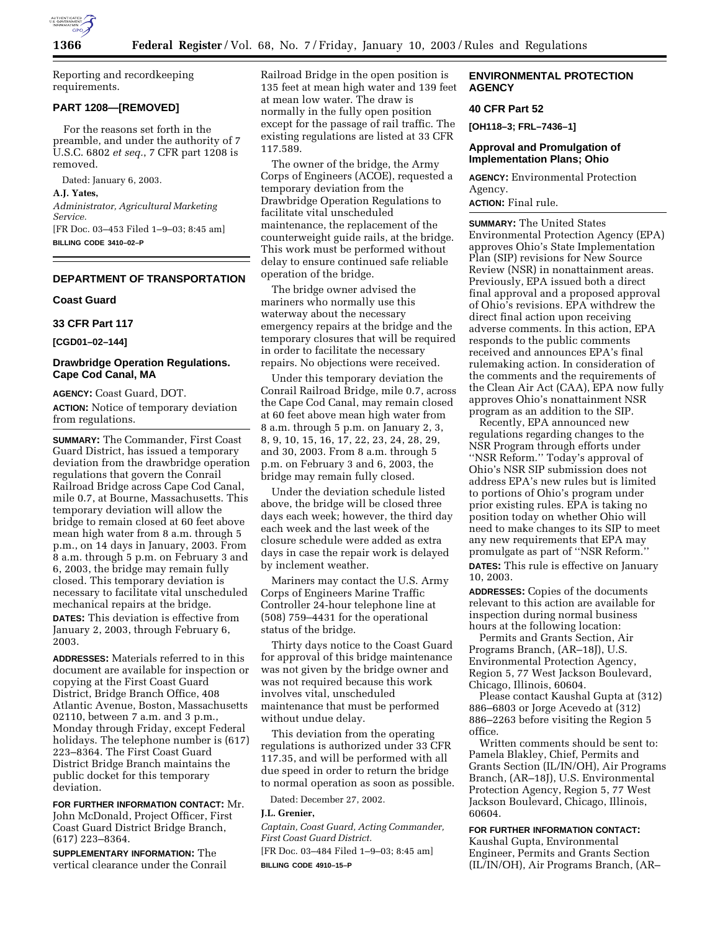

Reporting and recordkeeping requirements.

### **PART 1208—[REMOVED]**

For the reasons set forth in the preamble, and under the authority of 7 U.S.C. 6802 *et seq.*, 7 CFR part 1208 is removed.

Dated: January 6, 2003.

**A.J. Yates,** 

*Administrator, Agricultural Marketing Service.*

[FR Doc. 03–453 Filed 1–9–03; 8:45 am] **BILLING CODE 3410–02–P**

#### **DEPARTMENT OF TRANSPORTATION**

#### **Coast Guard**

# **33 CFR Part 117**

**[CGD01–02–144]** 

## **Drawbridge Operation Regulations. Cape Cod Canal, MA**

**AGENCY:** Coast Guard, DOT.

**ACTION:** Notice of temporary deviation from regulations.

**SUMMARY:** The Commander, First Coast Guard District, has issued a temporary deviation from the drawbridge operation regulations that govern the Conrail Railroad Bridge across Cape Cod Canal, mile 0.7, at Bourne, Massachusetts. This temporary deviation will allow the bridge to remain closed at 60 feet above mean high water from 8 a.m. through 5 p.m., on 14 days in January, 2003. From 8 a.m. through 5 p.m. on February 3 and 6, 2003, the bridge may remain fully closed. This temporary deviation is necessary to facilitate vital unscheduled mechanical repairs at the bridge.

**DATES:** This deviation is effective from January 2, 2003, through February 6, 2003.

**ADDRESSES:** Materials referred to in this document are available for inspection or copying at the First Coast Guard District, Bridge Branch Office, 408 Atlantic Avenue, Boston, Massachusetts 02110, between 7 a.m. and 3 p.m., Monday through Friday, except Federal holidays. The telephone number is (617) 223–8364. The First Coast Guard District Bridge Branch maintains the public docket for this temporary deviation.

**FOR FURTHER INFORMATION CONTACT:** Mr. John McDonald, Project Officer, First Coast Guard District Bridge Branch, (617) 223–8364.

**SUPPLEMENTARY INFORMATION:** The vertical clearance under the Conrail Railroad Bridge in the open position is 135 feet at mean high water and 139 feet at mean low water. The draw is normally in the fully open position except for the passage of rail traffic. The existing regulations are listed at 33 CFR 117.589.

The owner of the bridge, the Army Corps of Engineers (ACOE), requested a temporary deviation from the Drawbridge Operation Regulations to facilitate vital unscheduled maintenance, the replacement of the counterweight guide rails, at the bridge. This work must be performed without delay to ensure continued safe reliable operation of the bridge.

The bridge owner advised the mariners who normally use this waterway about the necessary emergency repairs at the bridge and the temporary closures that will be required in order to facilitate the necessary repairs. No objections were received.

Under this temporary deviation the Conrail Railroad Bridge, mile 0.7, across the Cape Cod Canal, may remain closed at 60 feet above mean high water from 8 a.m. through 5 p.m. on January 2, 3, 8, 9, 10, 15, 16, 17, 22, 23, 24, 28, 29, and 30, 2003. From 8 a.m. through 5 p.m. on February 3 and 6, 2003, the bridge may remain fully closed.

Under the deviation schedule listed above, the bridge will be closed three days each week; however, the third day each week and the last week of the closure schedule were added as extra days in case the repair work is delayed by inclement weather.

Mariners may contact the U.S. Army Corps of Engineers Marine Traffic Controller 24-hour telephone line at (508) 759–4431 for the operational status of the bridge.

Thirty days notice to the Coast Guard for approval of this bridge maintenance was not given by the bridge owner and was not required because this work involves vital, unscheduled maintenance that must be performed without undue delay.

This deviation from the operating regulations is authorized under 33 CFR 117.35, and will be performed with all due speed in order to return the bridge to normal operation as soon as possible.

Dated: December 27, 2002.

### **J.L. Grenier,**

*Captain, Coast Guard, Acting Commander, First Coast Guard District.* [FR Doc. 03–484 Filed 1–9–03; 8:45 am] **BILLING CODE 4910–15–P**

## **ENVIRONMENTAL PROTECTION AGENCY**

### **40 CFR Part 52**

**[OH118–3; FRL–7436–1]** 

# **Approval and Promulgation of Implementation Plans; Ohio**

**AGENCY:** Environmental Protection Agency. **ACTION:** Final rule.

**SUMMARY:** The United States Environmental Protection Agency (EPA) approves Ohio's State Implementation Plan (SIP) revisions for New Source Review (NSR) in nonattainment areas. Previously, EPA issued both a direct final approval and a proposed approval of Ohio's revisions. EPA withdrew the direct final action upon receiving adverse comments. In this action, EPA responds to the public comments received and announces EPA's final rulemaking action. In consideration of the comments and the requirements of the Clean Air Act (CAA), EPA now fully approves Ohio's nonattainment NSR program as an addition to the SIP.

Recently, EPA announced new regulations regarding changes to the NSR Program through efforts under ''NSR Reform.'' Today's approval of Ohio's NSR SIP submission does not address EPA's new rules but is limited to portions of Ohio's program under prior existing rules. EPA is taking no position today on whether Ohio will need to make changes to its SIP to meet any new requirements that EPA may promulgate as part of ''NSR Reform.'' **DATES:** This rule is effective on January 10, 2003.

**ADDRESSES:** Copies of the documents relevant to this action are available for inspection during normal business hours at the following location:

Permits and Grants Section, Air Programs Branch, (AR–18J), U.S. Environmental Protection Agency, Region 5, 77 West Jackson Boulevard, Chicago, Illinois, 60604.

Please contact Kaushal Gupta at (312) 886–6803 or Jorge Acevedo at (312) 886–2263 before visiting the Region 5 office.

Written comments should be sent to: Pamela Blakley, Chief, Permits and Grants Section (IL/IN/OH), Air Programs Branch, (AR–18J), U.S. Environmental Protection Agency, Region 5, 77 West Jackson Boulevard, Chicago, Illinois, 60604.

### **FOR FURTHER INFORMATION CONTACT:**

Kaushal Gupta, Environmental Engineer, Permits and Grants Section (IL/IN/OH), Air Programs Branch, (AR–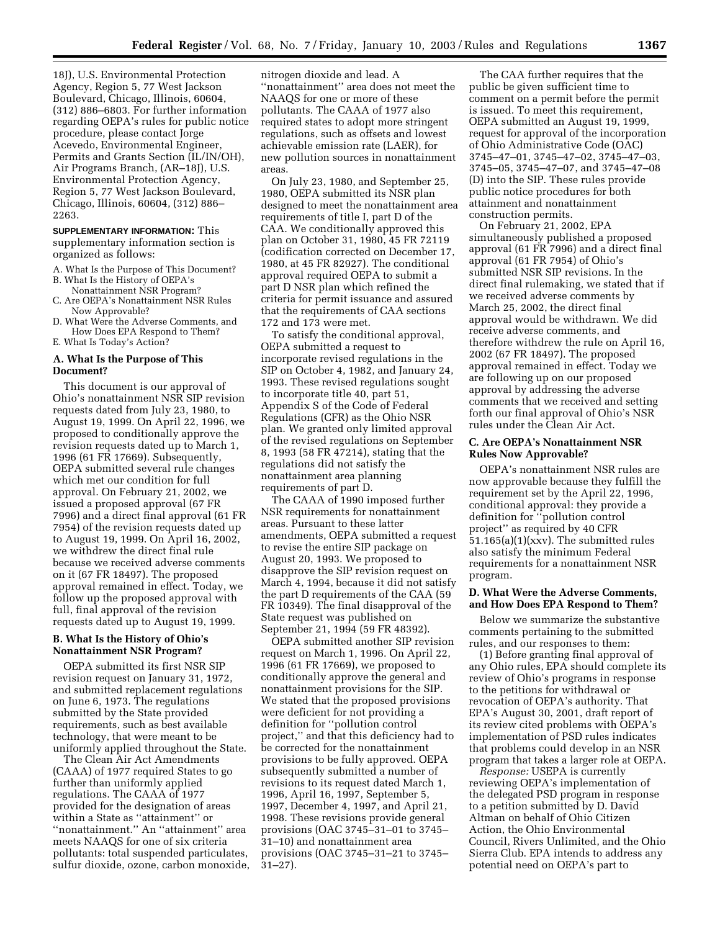18J), U.S. Environmental Protection Agency, Region 5, 77 West Jackson Boulevard, Chicago, Illinois, 60604, (312) 886–6803. For further information regarding OEPA's rules for public notice procedure, please contact Jorge Acevedo, Environmental Engineer, Permits and Grants Section (IL/IN/OH), Air Programs Branch, (AR–18J), U.S. Environmental Protection Agency, Region 5, 77 West Jackson Boulevard, Chicago, Illinois, 60604, (312) 886– 2263.

### **SUPPLEMENTARY INFORMATION:** This supplementary information section is organized as follows:

- A. What Is the Purpose of This Document? B. What Is the History of OEPA's
- Nonattainment NSR Program? C. Are OEPA's Nonattainment NSR Rules
- Now Approvable? D. What Were the Adverse Comments, and How Does EPA Respond to Them?
- E. What Is Today's Action?

### **A. What Is the Purpose of This Document?**

This document is our approval of Ohio's nonattainment NSR SIP revision requests dated from July 23, 1980, to August 19, 1999. On April 22, 1996, we proposed to conditionally approve the revision requests dated up to March 1, 1996 (61 FR 17669). Subsequently, OEPA submitted several rule changes which met our condition for full approval. On February 21, 2002, we issued a proposed approval (67 FR 7996) and a direct final approval (61 FR 7954) of the revision requests dated up to August 19, 1999. On April 16, 2002, we withdrew the direct final rule because we received adverse comments on it (67 FR 18497). The proposed approval remained in effect. Today, we follow up the proposed approval with full, final approval of the revision requests dated up to August 19, 1999.

## **B. What Is the History of Ohio's Nonattainment NSR Program?**

OEPA submitted its first NSR SIP revision request on January 31, 1972, and submitted replacement regulations on June 6, 1973. The regulations submitted by the State provided requirements, such as best available technology, that were meant to be uniformly applied throughout the State.

The Clean Air Act Amendments (CAAA) of 1977 required States to go further than uniformly applied regulations. The CAAA of 1977 provided for the designation of areas within a State as ''attainment'' or ''nonattainment.'' An ''attainment'' area meets NAAQS for one of six criteria pollutants: total suspended particulates, sulfur dioxide, ozone, carbon monoxide,

nitrogen dioxide and lead. A ''nonattainment'' area does not meet the NAAQS for one or more of these pollutants. The CAAA of 1977 also required states to adopt more stringent regulations, such as offsets and lowest achievable emission rate (LAER), for new pollution sources in nonattainment areas.

On July 23, 1980, and September 25, 1980, OEPA submitted its NSR plan designed to meet the nonattainment area requirements of title I, part D of the CAA. We conditionally approved this plan on October 31, 1980, 45 FR 72119 (codification corrected on December 17, 1980, at 45 FR 82927). The conditional approval required OEPA to submit a part D NSR plan which refined the criteria for permit issuance and assured that the requirements of CAA sections 172 and 173 were met.

To satisfy the conditional approval, OEPA submitted a request to incorporate revised regulations in the SIP on October 4, 1982, and January 24, 1993. These revised regulations sought to incorporate title 40, part 51, Appendix S of the Code of Federal Regulations (CFR) as the Ohio NSR plan. We granted only limited approval of the revised regulations on September 8, 1993 (58 FR 47214), stating that the regulations did not satisfy the nonattainment area planning requirements of part D.

The CAAA of 1990 imposed further NSR requirements for nonattainment areas. Pursuant to these latter amendments, OEPA submitted a request to revise the entire SIP package on August 20, 1993. We proposed to disapprove the SIP revision request on March 4, 1994, because it did not satisfy the part D requirements of the CAA (59 FR 10349). The final disapproval of the State request was published on September 21, 1994 (59 FR 48392).

OEPA submitted another SIP revision request on March 1, 1996. On April 22, 1996 (61 FR 17669), we proposed to conditionally approve the general and nonattainment provisions for the SIP. We stated that the proposed provisions were deficient for not providing a definition for ''pollution control project,'' and that this deficiency had to be corrected for the nonattainment provisions to be fully approved. OEPA subsequently submitted a number of revisions to its request dated March 1, 1996, April 16, 1997, September 5, 1997, December 4, 1997, and April 21, 1998. These revisions provide general provisions (OAC 3745–31–01 to 3745– 31–10) and nonattainment area provisions (OAC 3745–31–21 to 3745– 31–27).

The CAA further requires that the public be given sufficient time to comment on a permit before the permit is issued. To meet this requirement, OEPA submitted an August 19, 1999, request for approval of the incorporation of Ohio Administrative Code (OAC) 3745–47–01, 3745–47–02, 3745–47–03, 3745–05, 3745–47–07, and 3745–47–08 (D) into the SIP. These rules provide public notice procedures for both attainment and nonattainment construction permits.

On February 21, 2002, EPA simultaneously published a proposed approval (61 FR 7996) and a direct final approval (61 FR 7954) of Ohio's submitted NSR SIP revisions. In the direct final rulemaking, we stated that if we received adverse comments by March 25, 2002, the direct final approval would be withdrawn. We did receive adverse comments, and therefore withdrew the rule on April 16, 2002 (67 FR 18497). The proposed approval remained in effect. Today we are following up on our proposed approval by addressing the adverse comments that we received and setting forth our final approval of Ohio's NSR rules under the Clean Air Act.

#### **C. Are OEPA's Nonattainment NSR Rules Now Approvable?**

OEPA's nonattainment NSR rules are now approvable because they fulfill the requirement set by the April 22, 1996, conditional approval: they provide a definition for ''pollution control project'' as required by 40 CFR 51.165(a)(1)(xxv). The submitted rules also satisfy the minimum Federal requirements for a nonattainment NSR program.

### **D. What Were the Adverse Comments, and How Does EPA Respond to Them?**

Below we summarize the substantive comments pertaining to the submitted rules, and our responses to them:

(1) Before granting final approval of any Ohio rules, EPA should complete its review of Ohio's programs in response to the petitions for withdrawal or revocation of OEPA's authority. That EPA's August 30, 2001, draft report of its review cited problems with OEPA's implementation of PSD rules indicates that problems could develop in an NSR program that takes a larger role at OEPA.

*Response:* USEPA is currently reviewing OEPA's implementation of the delegated PSD program in response to a petition submitted by D. David Altman on behalf of Ohio Citizen Action, the Ohio Environmental Council, Rivers Unlimited, and the Ohio Sierra Club. EPA intends to address any potential need on OEPA's part to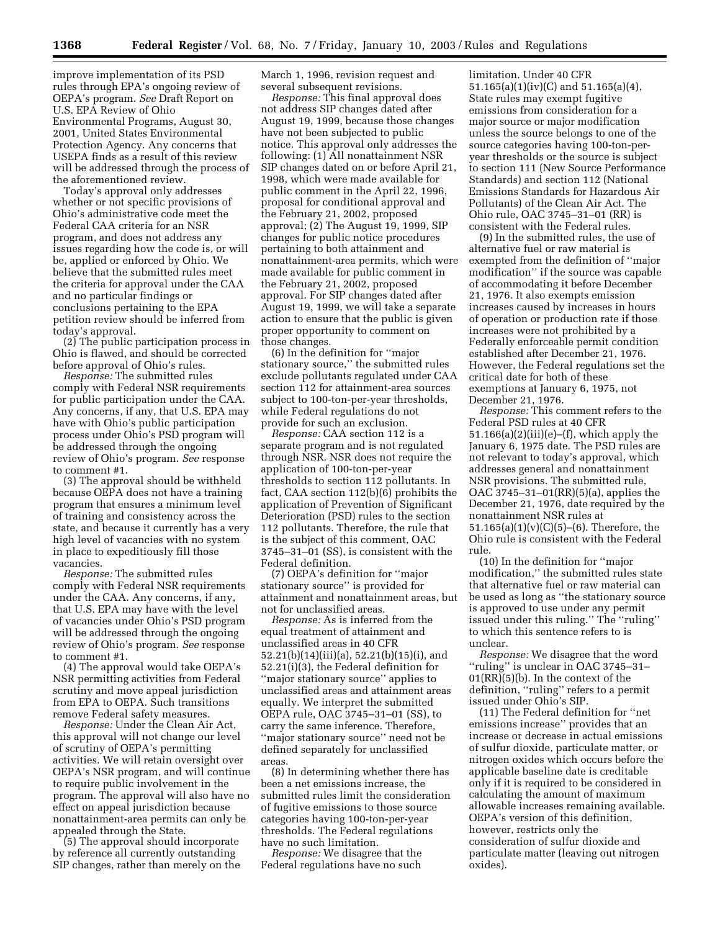improve implementation of its PSD rules through EPA's ongoing review of OEPA's program. *See* Draft Report on U.S. EPA Review of Ohio Environmental Programs, August 30, 2001, United States Environmental Protection Agency. Any concerns that USEPA finds as a result of this review will be addressed through the process of the aforementioned review.

Today's approval only addresses whether or not specific provisions of Ohio's administrative code meet the Federal CAA criteria for an NSR program, and does not address any issues regarding how the code is, or will be, applied or enforced by Ohio. We believe that the submitted rules meet the criteria for approval under the CAA and no particular findings or conclusions pertaining to the EPA petition review should be inferred from today's approval.

(2) The public participation process in Ohio is flawed, and should be corrected before approval of Ohio's rules.

*Response:* The submitted rules comply with Federal NSR requirements for public participation under the CAA. Any concerns, if any, that U.S. EPA may have with Ohio's public participation process under Ohio's PSD program will be addressed through the ongoing review of Ohio's program. *See* response to comment #1.

(3) The approval should be withheld because OEPA does not have a training program that ensures a minimum level of training and consistency across the state, and because it currently has a very high level of vacancies with no system in place to expeditiously fill those vacancies.

*Response:* The submitted rules comply with Federal NSR requirements under the CAA. Any concerns, if any, that U.S. EPA may have with the level of vacancies under Ohio's PSD program will be addressed through the ongoing review of Ohio's program. *See* response to comment #1.

(4) The approval would take OEPA's NSR permitting activities from Federal scrutiny and move appeal jurisdiction from EPA to OEPA. Such transitions remove Federal safety measures.

*Response:* Under the Clean Air Act, this approval will not change our level of scrutiny of OEPA's permitting activities. We will retain oversight over OEPA's NSR program, and will continue to require public involvement in the program. The approval will also have no effect on appeal jurisdiction because nonattainment-area permits can only be appealed through the State.

(5) The approval should incorporate by reference all currently outstanding SIP changes, rather than merely on the March 1, 1996, revision request and several subsequent revisions.

*Response:* This final approval does not address SIP changes dated after August 19, 1999, because those changes have not been subjected to public notice. This approval only addresses the following: (1) All nonattainment NSR SIP changes dated on or before April 21, 1998, which were made available for public comment in the April 22, 1996, proposal for conditional approval and the February 21, 2002, proposed approval; (2) The August 19, 1999, SIP changes for public notice procedures pertaining to both attainment and nonattainment-area permits, which were made available for public comment in the February 21, 2002, proposed approval. For SIP changes dated after August 19, 1999, we will take a separate action to ensure that the public is given proper opportunity to comment on those changes.

(6) In the definition for ''major stationary source,'' the submitted rules exclude pollutants regulated under CAA section 112 for attainment-area sources subject to 100-ton-per-year thresholds, while Federal regulations do not provide for such an exclusion.

*Response:* CAA section 112 is a separate program and is not regulated through NSR. NSR does not require the application of 100-ton-per-year thresholds to section 112 pollutants. In fact, CAA section 112(b)(6) prohibits the application of Prevention of Significant Deterioration (PSD) rules to the section 112 pollutants. Therefore, the rule that is the subject of this comment, OAC 3745–31–01 (SS), is consistent with the Federal definition.

(7) OEPA's definition for ''major stationary source'' is provided for attainment and nonattainment areas, but not for unclassified areas.

*Response:* As is inferred from the equal treatment of attainment and unclassified areas in 40 CFR 52.21(b)(14)(iii)(a), 52.21(b)(15)(i), and 52.21(i)(3), the Federal definition for ''major stationary source'' applies to unclassified areas and attainment areas equally. We interpret the submitted OEPA rule, OAC 3745–31–01 (SS), to carry the same inference. Therefore, ''major stationary source'' need not be defined separately for unclassified areas.

(8) In determining whether there has been a net emissions increase, the submitted rules limit the consideration of fugitive emissions to those source categories having 100-ton-per-year thresholds. The Federal regulations have no such limitation.

*Response:* We disagree that the Federal regulations have no such limitation. Under 40 CFR 51.165(a)(1)(iv)(C) and 51.165(a)(4), State rules may exempt fugitive emissions from consideration for a major source or major modification unless the source belongs to one of the source categories having 100-ton-peryear thresholds or the source is subject to section 111 (New Source Performance Standards) and section 112 (National Emissions Standards for Hazardous Air Pollutants) of the Clean Air Act. The Ohio rule, OAC 3745–31–01 (RR) is consistent with the Federal rules.

(9) In the submitted rules, the use of alternative fuel or raw material is exempted from the definition of ''major modification'' if the source was capable of accommodating it before December 21, 1976. It also exempts emission increases caused by increases in hours of operation or production rate if those increases were not prohibited by a Federally enforceable permit condition established after December 21, 1976. However, the Federal regulations set the critical date for both of these exemptions at January 6, 1975, not December 21, 1976.

*Response:* This comment refers to the Federal PSD rules at 40 CFR  $51.166(a)(2)(iii)(e)$ –(f), which apply the January 6, 1975 date. The PSD rules are not relevant to today's approval, which addresses general and nonattainment NSR provisions. The submitted rule, OAC 3745–31–01(RR)(5)(a), applies the December 21, 1976, date required by the nonattainment NSR rules at  $51.165(a)(1)(v)(C)(5)–(6)$ . Therefore, the Ohio rule is consistent with the Federal rule.

(10) In the definition for ''major modification,'' the submitted rules state that alternative fuel or raw material can be used as long as ''the stationary source is approved to use under any permit issued under this ruling.'' The ''ruling'' to which this sentence refers to is unclear.

*Response:* We disagree that the word ''ruling'' is unclear in OAC 3745–31– 01(RR)(5)(b). In the context of the definition, ''ruling'' refers to a permit issued under Ohio's SIP.

(11) The Federal definition for ''net emissions increase'' provides that an increase or decrease in actual emissions of sulfur dioxide, particulate matter, or nitrogen oxides which occurs before the applicable baseline date is creditable only if it is required to be considered in calculating the amount of maximum allowable increases remaining available. OEPA's version of this definition, however, restricts only the consideration of sulfur dioxide and particulate matter (leaving out nitrogen oxides).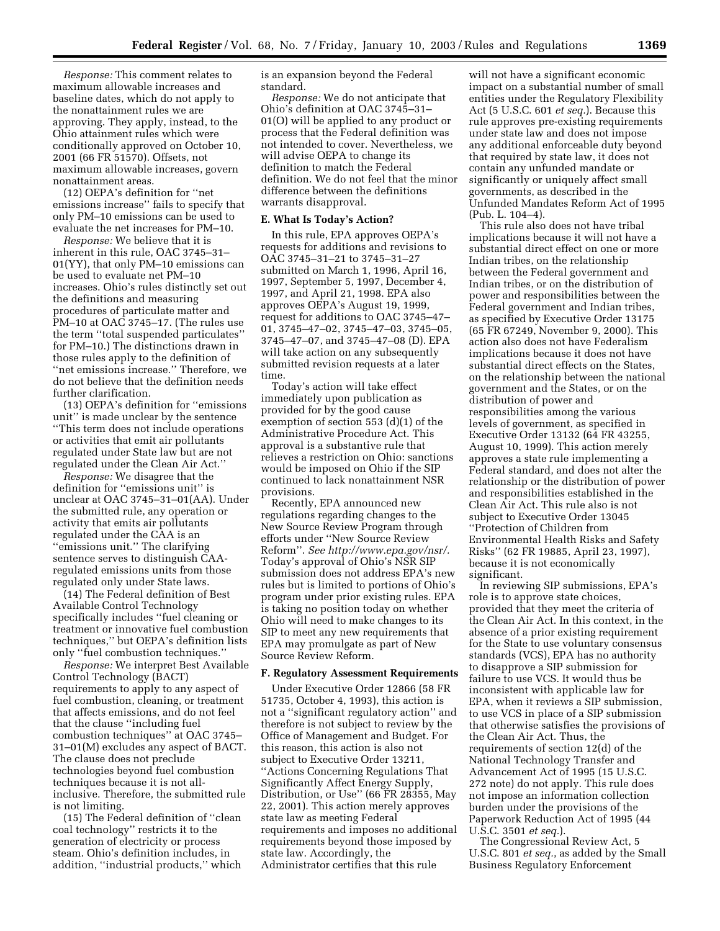*Response:* This comment relates to maximum allowable increases and baseline dates, which do not apply to the nonattainment rules we are approving. They apply, instead, to the Ohio attainment rules which were conditionally approved on October 10, 2001 (66 FR 51570). Offsets, not maximum allowable increases, govern nonattainment areas.

(12) OEPA's definition for ''net emissions increase'' fails to specify that only PM–10 emissions can be used to evaluate the net increases for PM–10.

*Response:* We believe that it is inherent in this rule, OAC 3745–31– 01(YY), that only PM–10 emissions can be used to evaluate net PM–10 increases. Ohio's rules distinctly set out the definitions and measuring procedures of particulate matter and PM–10 at OAC 3745–17. (The rules use the term ''total suspended particulates'' for PM–10.) The distinctions drawn in those rules apply to the definition of ''net emissions increase.'' Therefore, we do not believe that the definition needs further clarification.

(13) OEPA's definition for ''emissions unit'' is made unclear by the sentence ''This term does not include operations or activities that emit air pollutants regulated under State law but are not regulated under the Clean Air Act.''

*Response:* We disagree that the definition for ''emissions unit'' is unclear at OAC 3745–31–01(AA). Under the submitted rule, any operation or activity that emits air pollutants regulated under the CAA is an ''emissions unit.'' The clarifying sentence serves to distinguish CAAregulated emissions units from those regulated only under State laws.

(14) The Federal definition of Best Available Control Technology specifically includes ''fuel cleaning or treatment or innovative fuel combustion techniques,'' but OEPA's definition lists only ''fuel combustion techniques.''

*Response:* We interpret Best Available Control Technology (BACT) requirements to apply to any aspect of fuel combustion, cleaning, or treatment that affects emissions, and do not feel that the clause ''including fuel combustion techniques'' at OAC 3745– 31–01(M) excludes any aspect of BACT. The clause does not preclude technologies beyond fuel combustion techniques because it is not allinclusive. Therefore, the submitted rule is not limiting.

(15) The Federal definition of ''clean coal technology'' restricts it to the generation of electricity or process steam. Ohio's definition includes, in addition, ''industrial products,'' which

is an expansion beyond the Federal standard.

*Response:* We do not anticipate that Ohio's definition at OAC 3745–31– 01(O) will be applied to any product or process that the Federal definition was not intended to cover. Nevertheless, we will advise OEPA to change its definition to match the Federal definition. We do not feel that the minor difference between the definitions warrants disapproval.

#### **E. What Is Today's Action?**

In this rule, EPA approves OEPA's requests for additions and revisions to OAC 3745–31–21 to 3745–31–27 submitted on March 1, 1996, April 16, 1997, September 5, 1997, December 4, 1997, and April 21, 1998. EPA also approves OEPA's August 19, 1999, request for additions to OAC 3745–47– 01, 3745–47–02, 3745–47–03, 3745–05, 3745–47–07, and 3745–47–08 (D). EPA will take action on any subsequently submitted revision requests at a later time.

Today's action will take effect immediately upon publication as provided for by the good cause exemption of section 553 (d)(1) of the Administrative Procedure Act. This approval is a substantive rule that relieves a restriction on Ohio: sanctions would be imposed on Ohio if the SIP continued to lack nonattainment NSR provisions.

Recently, EPA announced new regulations regarding changes to the New Source Review Program through efforts under ''New Source Review Reform''. *See http://www.epa.gov/nsr/.* Today's approval of Ohio's NSR SIP submission does not address EPA's new rules but is limited to portions of Ohio's program under prior existing rules. EPA is taking no position today on whether Ohio will need to make changes to its SIP to meet any new requirements that EPA may promulgate as part of New Source Review Reform.

#### **F. Regulatory Assessment Requirements**

Under Executive Order 12866 (58 FR 51735, October 4, 1993), this action is not a ''significant regulatory action'' and therefore is not subject to review by the Office of Management and Budget. For this reason, this action is also not subject to Executive Order 13211, ''Actions Concerning Regulations That Significantly Affect Energy Supply, Distribution, or Use'' (66 FR 28355, May 22, 2001). This action merely approves state law as meeting Federal requirements and imposes no additional requirements beyond those imposed by state law. Accordingly, the Administrator certifies that this rule

will not have a significant economic impact on a substantial number of small entities under the Regulatory Flexibility Act (5 U.S.C. 601 *et seq.*). Because this rule approves pre-existing requirements under state law and does not impose any additional enforceable duty beyond that required by state law, it does not contain any unfunded mandate or significantly or uniquely affect small governments, as described in the Unfunded Mandates Reform Act of 1995 (Pub. L. 104–4).

This rule also does not have tribal implications because it will not have a substantial direct effect on one or more Indian tribes, on the relationship between the Federal government and Indian tribes, or on the distribution of power and responsibilities between the Federal government and Indian tribes, as specified by Executive Order 13175 (65 FR 67249, November 9, 2000). This action also does not have Federalism implications because it does not have substantial direct effects on the States, on the relationship between the national government and the States, or on the distribution of power and responsibilities among the various levels of government, as specified in Executive Order 13132 (64 FR 43255, August 10, 1999). This action merely approves a state rule implementing a Federal standard, and does not alter the relationship or the distribution of power and responsibilities established in the Clean Air Act. This rule also is not subject to Executive Order 13045 ''Protection of Children from Environmental Health Risks and Safety Risks'' (62 FR 19885, April 23, 1997), because it is not economically significant.

In reviewing SIP submissions, EPA's role is to approve state choices, provided that they meet the criteria of the Clean Air Act. In this context, in the absence of a prior existing requirement for the State to use voluntary consensus standards (VCS), EPA has no authority to disapprove a SIP submission for failure to use VCS. It would thus be inconsistent with applicable law for EPA, when it reviews a SIP submission, to use VCS in place of a SIP submission that otherwise satisfies the provisions of the Clean Air Act. Thus, the requirements of section 12(d) of the National Technology Transfer and Advancement Act of 1995 (15 U.S.C. 272 note) do not apply. This rule does not impose an information collection burden under the provisions of the Paperwork Reduction Act of 1995 (44 U.S.C. 3501 *et seq.*).

The Congressional Review Act, 5 U.S.C. 801 *et seq.*, as added by the Small Business Regulatory Enforcement